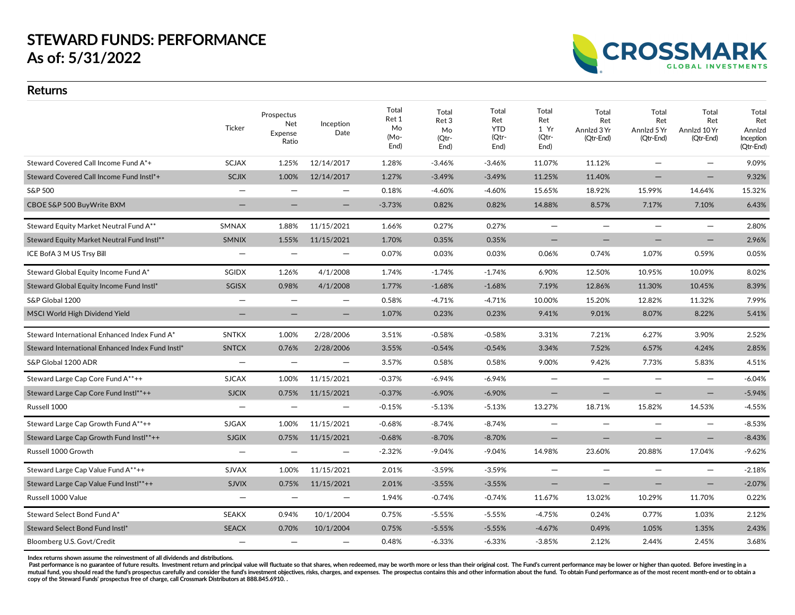# **STEWARD FUNDS: PERFORMANCE As of: 5/31/2022**

**CROSSMARK GLOBAL INVESTMENTS** 

### **Returns**

|                                                  | Ticker                   | Prospectus<br>Net<br>Expense<br>Ratio | Inception<br>Date        | Total<br>Ret 1<br>Mo<br>(Mo-<br>End) | Total<br>Ret 3<br>Mo<br>(Qtr-<br>End) | Total<br>Ret<br><b>YTD</b><br>(Qtr-<br>End) | Total<br>Ret<br>1 Yr<br>(Qtr-<br>End) | Total<br>Ret<br>Annlzd 3 Yr<br>(Qtr-End) | Total<br>Ret<br>Annizd 5 Yr<br>(Qtr-End) | Total<br>Ret<br>Annlzd 10 Yr<br>(Qtr-End) | Total<br>Ret<br>Annlzd<br>Inception<br>(Qtr-End) |
|--------------------------------------------------|--------------------------|---------------------------------------|--------------------------|--------------------------------------|---------------------------------------|---------------------------------------------|---------------------------------------|------------------------------------------|------------------------------------------|-------------------------------------------|--------------------------------------------------|
| Steward Covered Call Income Fund A*+             | <b>SCJAX</b>             | 1.25%                                 | 12/14/2017               | 1.28%                                | $-3.46%$                              | $-3.46%$                                    | 11.07%                                | 11.12%                                   |                                          | $\overline{\phantom{0}}$                  | 9.09%                                            |
| Steward Covered Call Income Fund Instl*+         | <b>SCJIX</b>             | 1.00%                                 | 12/14/2017               | 1.27%                                | $-3.49%$                              | $-3.49%$                                    | 11.25%                                | 11.40%                                   |                                          | $\qquad \qquad -$                         | 9.32%                                            |
| S&P 500                                          |                          | $\qquad \qquad -$                     | $\qquad \qquad -$        | 0.18%                                | $-4.60%$                              | $-4.60%$                                    | 15.65%                                | 18.92%                                   | 15.99%                                   | 14.64%                                    | 15.32%                                           |
| CBOE S&P 500 BuyWrite BXM                        | -                        | -                                     | $\qquad \qquad -$        | $-3.73%$                             | 0.82%                                 | 0.82%                                       | 14.88%                                | 8.57%                                    | 7.17%                                    | 7.10%                                     | 6.43%                                            |
| Steward Equity Market Neutral Fund A**           | SMNAX                    | 1.88%                                 | 11/15/2021               | 1.66%                                | 0.27%                                 | 0.27%                                       | $\overline{\phantom{0}}$              | $\overline{\phantom{m}}$                 | $\equiv$                                 | $\qquad \qquad -$                         | 2.80%                                            |
| Steward Equity Market Neutral Fund Instl**       | <b>SMNIX</b>             | 1.55%                                 | 11/15/2021               | 1.70%                                | 0.35%                                 | 0.35%                                       | $\overline{\phantom{0}}$              |                                          |                                          | $\qquad \qquad -$                         | 2.96%                                            |
| ICE BofA 3 M US Trsy Bill                        | $\qquad \qquad -$        | $\overline{\phantom{m}}$              | $\qquad \qquad -$        | 0.07%                                | 0.03%                                 | 0.03%                                       | 0.06%                                 | 0.74%                                    | 1.07%                                    | 0.59%                                     | 0.05%                                            |
| Steward Global Equity Income Fund A*             | SGIDX                    | 1.26%                                 | 4/1/2008                 | 1.74%                                | $-1.74%$                              | $-1.74%$                                    | 6.90%                                 | 12.50%                                   | 10.95%                                   | 10.09%                                    | 8.02%                                            |
| Steward Global Equity Income Fund Instl*         | SGISX                    | 0.98%                                 | 4/1/2008                 | 1.77%                                | $-1.68%$                              | $-1.68%$                                    | 7.19%                                 | 12.86%                                   | 11.30%                                   | 10.45%                                    | 8.39%                                            |
| S&P Global 1200                                  |                          |                                       | —                        | 0.58%                                | $-4.71%$                              | $-4.71%$                                    | 10.00%                                | 15.20%                                   | 12.82%                                   | 11.32%                                    | 7.99%                                            |
| MSCI World High Dividend Yield                   | $\qquad \qquad -$        |                                       | $\qquad \qquad -$        | 1.07%                                | 0.23%                                 | 0.23%                                       | 9.41%                                 | 9.01%                                    | 8.07%                                    | 8.22%                                     | 5.41%                                            |
| Steward International Enhanced Index Fund A*     | <b>SNTKX</b>             | 1.00%                                 | 2/28/2006                | 3.51%                                | $-0.58%$                              | $-0.58%$                                    | 3.31%                                 | 7.21%                                    | 6.27%                                    | 3.90%                                     | 2.52%                                            |
| Steward International Enhanced Index Fund Instl* | <b>SNTCX</b>             | 0.76%                                 | 2/28/2006                | 3.55%                                | $-0.54%$                              | $-0.54%$                                    | 3.34%                                 | 7.52%                                    | 6.57%                                    | 4.24%                                     | 2.85%                                            |
| S&P Global 1200 ADR                              |                          | $\overline{\phantom{m}}$              | $\qquad \qquad -$        | 3.57%                                | 0.58%                                 | 0.58%                                       | 9.00%                                 | 9.42%                                    | 7.73%                                    | 5.83%                                     | 4.51%                                            |
| Steward Large Cap Core Fund A**++                | <b>SJCAX</b>             | 1.00%                                 | 11/15/2021               | $-0.37%$                             | $-6.94\%$                             | $-6.94%$                                    | $-$                                   | $\overline{\phantom{m}}$                 | $\overline{\phantom{0}}$                 | $\qquad \qquad -$                         | $-6.04%$                                         |
| Steward Large Cap Core Fund Instl**++            | <b>SJCIX</b>             | 0.75%                                 | 11/15/2021               | $-0.37%$                             | $-6.90%$                              | $-6.90%$                                    | $\qquad \qquad -$                     | —                                        |                                          | $\qquad \qquad -$                         | $-5.94%$                                         |
| Russell 1000                                     | $\overline{\phantom{0}}$ | $\overline{\phantom{m}}$              | $\qquad \qquad -$        | $-0.15%$                             | $-5.13%$                              | $-5.13%$                                    | 13.27%                                | 18.71%                                   | 15.82%                                   | 14.53%                                    | $-4.55%$                                         |
| Steward Large Cap Growth Fund A**++              | SJGAX                    | 1.00%                                 | 11/15/2021               | $-0.68%$                             | $-8.74%$                              | $-8.74%$                                    | $\overline{\phantom{0}}$              | —                                        |                                          | $\overline{\phantom{0}}$                  | $-8.53%$                                         |
| Steward Large Cap Growth Fund Instl**++          | <b>SJGIX</b>             | 0.75%                                 | 11/15/2021               | $-0.68%$                             | $-8.70%$                              | $-8.70%$                                    | $\qquad \qquad -$                     | $\overline{\phantom{0}}$                 |                                          | $\overline{\phantom{m}}$                  | $-8.43%$                                         |
| Russell 1000 Growth                              |                          | $\qquad \qquad -$                     | —                        | $-2.32%$                             | $-9.04%$                              | $-9.04%$                                    | 14.98%                                | 23.60%                                   | 20.88%                                   | 17.04%                                    | $-9.62%$                                         |
| Steward Large Cap Value Fund A**++               | SJVAX                    | 1.00%                                 | 11/15/2021               | 2.01%                                | $-3.59%$                              | $-3.59%$                                    | $\overline{\phantom{0}}$              | $\overline{\phantom{0}}$                 |                                          | $\overline{\phantom{0}}$                  | $-2.18%$                                         |
| Steward Large Cap Value Fund Instl**++           | <b>SJVIX</b>             | 0.75%                                 | 11/15/2021               | 2.01%                                | $-3.55%$                              | $-3.55%$                                    | -                                     | -                                        |                                          | $\qquad \qquad -$                         | $-2.07%$                                         |
| Russell 1000 Value                               | $\overline{\phantom{0}}$ | $\overline{\phantom{m}}$              | $\overline{\phantom{m}}$ | 1.94%                                | $-0.74%$                              | $-0.74%$                                    | 11.67%                                | 13.02%                                   | 10.29%                                   | 11.70%                                    | 0.22%                                            |
| Steward Select Bond Fund A*                      | <b>SEAKX</b>             | 0.94%                                 | 10/1/2004                | 0.75%                                | $-5.55%$                              | $-5.55%$                                    | $-4.75%$                              | 0.24%                                    | 0.77%                                    | 1.03%                                     | 2.12%                                            |
| Steward Select Bond Fund Instl*                  | <b>SEACX</b>             | 0.70%                                 | 10/1/2004                | 0.75%                                | $-5.55%$                              | $-5.55%$                                    | $-4.67%$                              | 0.49%                                    | 1.05%                                    | 1.35%                                     | 2.43%                                            |
| Bloomberg U.S. Govt/Credit                       |                          | $\overline{\phantom{0}}$              | —                        | 0.48%                                | $-6.33%$                              | $-6.33%$                                    | $-3.85%$                              | 2.12%                                    | 2.44%                                    | 2.45%                                     | 3.68%                                            |

**Index returns shown assume the reinvestment of all dividends and distributions.**

Past performance is no guarantee of future results. Investment return and principal value will fluctuate so that shares, when redeemed, may be worth more or less than their original cost. The Fund's current performance may mutual fund, you should read the fund's prospectus carefully and consider the fund's investment objectives, risks, charges, and expenses. The prospectus contains this and other information about the fund. To obtain Pund pe **copy of the Steward Funds' prospectus free of charge, call Crossmark Distributors at 888.845.6910. .**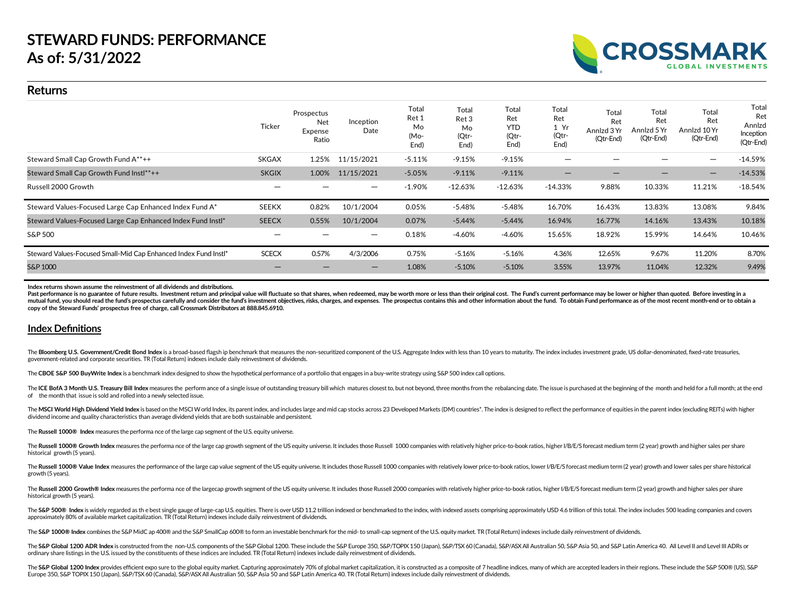#### **Returns**

|                                                                 | <b>Ticker</b> | Prospectus<br>Net<br>Expense<br>Ratio | Inception<br>Date | Total<br>Ret 1<br>Mo<br>(Mo-<br>End) | Total<br>Ret 3<br>Mo<br>(Qtr-<br>End) | Total<br>Ret<br><b>YTD</b><br>(Qtr-<br>End) | Total<br>Ret<br>1 Yr<br>(Qtr-<br>End) | Total<br>Ret<br>Annizd 3 Yr<br>(Qtr-End) | Total<br>Ret<br>Annizd 5 Yr<br>(Qtr-End) | Total<br>Ret<br>Annizd 10 Yr<br>(Qtr-End) | Total<br>Ret<br>Annlzd<br>Inception<br>(Qtr-End) |
|-----------------------------------------------------------------|---------------|---------------------------------------|-------------------|--------------------------------------|---------------------------------------|---------------------------------------------|---------------------------------------|------------------------------------------|------------------------------------------|-------------------------------------------|--------------------------------------------------|
| Steward Small Cap Growth Fund A**++                             | <b>SKGAX</b>  | 1.25%                                 | 11/15/2021        | $-5.11%$                             | $-9.15%$                              | $-9.15%$                                    | -                                     |                                          |                                          |                                           | $-14.59%$                                        |
| Steward Small Cap Growth Fund Instl**++                         | <b>SKGIX</b>  | 1.00%                                 | 11/15/2021        | $-5.05%$                             | $-9.11%$                              | $-9.11%$                                    |                                       |                                          | -                                        |                                           | $-14.53%$                                        |
| Russell 2000 Growth                                             |               |                                       |                   | $-1.90%$                             | $-12.63\%$                            | $-12.63%$                                   | $-14.33%$                             | 9.88%                                    | 10.33%                                   | 11.21%                                    | $-18.54%$                                        |
| Steward Values-Focused Large Cap Enhanced Index Fund A*         | <b>SEEKX</b>  | 0.82%                                 | 10/1/2004         | 0.05%                                | $-5.48%$                              | $-5.48%$                                    | 16.70%                                | 16.43%                                   | 13.83%                                   | 13.08%                                    | 9.84%                                            |
| Steward Values-Focused Large Cap Enhanced Index Fund Instl*     | <b>SEECX</b>  | 0.55%                                 | 10/1/2004         | 0.07%                                | $-5.44%$                              | $-5.44%$                                    | 16.94%                                | 16.77%                                   | 14.16%                                   | 13.43%                                    | 10.18%                                           |
| S&P 500                                                         |               |                                       | —                 | 0.18%                                | $-4.60%$                              | -4.60%                                      | 15.65%                                | 18.92%                                   | 15.99%                                   | 14.64%                                    | 10.46%                                           |
| Steward Values-Focused Small-Mid Cap Enhanced Index Fund Instl* | <b>SCECX</b>  | 0.57%                                 | 4/3/2006          | 0.75%                                | $-5.16%$                              | $-5.16%$                                    | 4.36%                                 | 12.65%                                   | 9.67%                                    | 11.20%                                    | 8.70%                                            |
| S&P 1000                                                        |               |                                       |                   | 1.08%                                | $-5.10%$                              | $-5.10%$                                    | 3.55%                                 | 13.97%                                   | 11.04%                                   | 12.32%                                    | 9.49%                                            |

**ROSSMARK** 

**Index returns shown assume the reinvestment of all dividends and distributions.**

Past performance is no guarantee of future results. Investment return and principal value will fluctuate so that shares, when redeemed, may be worth more or less than their original cost. The Fund's current performance may mutual fund, you should read the fund's prospectus carefully and consider the fund's investment objectives, risks, charges, and expenses. The prospectus contains this and other information about the fund. To obtain Pund pe **copy of the Steward Funds' prospectus free of charge, call Crossmark Distributors at 888.845.6910.**

#### **Index Definitions**

The Bloomberg U.S. Government/Credit Bond Index is a broad-based flagsh ip benchmark that measures the non-securitized component of the U.S. Aggregate Index with less than 10 years to maturity. The index includes investmen government-related and corporate securities. TR (Total Return) indexes include daily reinvestment of dividends.

The**CBOE S&P 500 BuyWrite Index** is a benchmark index designed to show the hypothetical performance of a portfolio that engages in a buy-write strategy using S&P 500 index call options.

The ICE BofA 3 Month U.S. Treasury Bill Index measures the perform ance of a single issue of outstanding treasury bill which matures closest to, but not beyond, three months from the rebalancing date. The issue is purchase of the month that issue is sold and rolled into a newly selected issue.

The MSCI World High Dividend Yield Index is based on the MSCI World Index, its parent index, and includes large and mid cap stocks across 23 Developed Markets (DM) countries\*. The index is designed to reflect the performan dividend income and quality characteristics than average dividend yields that are both sustainable and persistent.

The **Russell 1000® Index** measures the performa nce of the large cap segment of the U.S. equity universe.

The Russell 1000® Growth Index measures the performa nce of the large cap growth segment of the US equity universe. It includes those Russell 1000 companies with relatively higher price-to-book ratios, higher I/B/E/S forec historical growth (5 years).

The Russell 1000® Value Index measures the performance of the large cap value segment of the US equity universe. It includes those Russell 1000 companies with relatively lower price-to-book ratios, lower I/B/E/S forecast m growth (5 years).

The Russell 2000 Growth® Index measures the performa nce of the largecap growth segment of the US equity universe. It includes those Russell 2000 companies with relatively higher price-to-book ratios, higher I/B/E/S foreca historical growth (5 years).

The S&P 500® Index is widely regarded as the best single gauge of large-cap U.S. equities. There is over USD 11.2 trillion indexed or benchmarked to the index, with indexed assets comprising approximately USD 4.6 trillion approximately 80% of available market capitalization. TR (Total Return) indexes include daily reinvestment of dividends.

The S&P 1000® Index combines the S&P MidC ap 400® and the S&P SmallCap 600® to form an investable benchmark for the mid- to small-cap segment of the U.S. equity market. TR (Total Return) indexes include daily reinvestment

The S&P Global 1200 ADR Index is constructed from the non-U.S. components of the S&P Global 1200. These include the S&P Europe 350, S&P/TOPIX 150 (Japan), S&P/TSX 60 (Canada), S&P/ASX All Australian 50, S&P Asia 50, and S& ordinary share listings in the U.S. issued by the constituents of these indices are included. TR (Total Return) indexes include daily reinvestment of dividends.

The S&P Global 1200 Index provides efficient expo sure to the global equity market. Capturing approximately 70% of global market capitalization, it is constructed as a composite of 7 headline indices, many of which are acc Europe 350, S&P TOPIX 150 (Japan), S&P/TSX60 (Canada), S&P/ASXAll Australian 50, S&P Asia 50 and S&P Latin America 40. TR (Total Return) indexes include daily reinvestment of dividends.